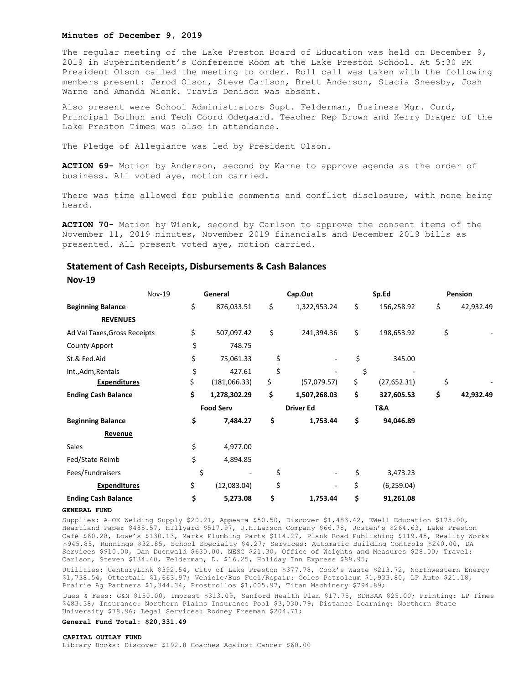### **Minutes of December 9, 2019**

The regular meeting of the Lake Preston Board of Education was held on December 9, 2019 in Superintendent's Conference Room at the Lake Preston School. At 5:30 PM President Olson called the meeting to order. Roll call was taken with the following members present: Jerod Olson, Steve Carlson, Brett Anderson, Stacia Sneesby, Josh Warne and Amanda Wienk. Travis Denison was absent.

Also present were School Administrators Supt. Felderman, Business Mgr. Curd, Principal Bothun and Tech Coord Odegaard. Teacher Rep Brown and Kerry Drager of the Lake Preston Times was also in attendance.

The Pledge of Allegiance was led by President Olson.

**ACTION 69-** Motion by Anderson, second by Warne to approve agenda as the order of business. All voted aye, motion carried.

There was time allowed for public comments and conflict disclosure, with none being heard.

**ACTION 70-** Motion by Wienk, second by Carlson to approve the consent items of the November 11, 2019 minutes, November 2019 financials and December 2019 bills as presented. All present voted aye, motion carried.

# **Statement of Cash Receipts, Disbursements & Cash Balances**

**Nov-19**

|                              | <b>Nov-19</b> | General          |              | Cap.Out          |              | Sp.Ed |              | <b>Pension</b> |           |
|------------------------------|---------------|------------------|--------------|------------------|--------------|-------|--------------|----------------|-----------|
| <b>Beginning Balance</b>     | \$            |                  | 876,033.51   | \$               | 1,322,953.24 | \$    | 156,258.92   | \$             | 42,932.49 |
| <b>REVENUES</b>              |               |                  |              |                  |              |       |              |                |           |
| Ad Val Taxes, Gross Receipts | \$            |                  | 507,097.42   | \$               | 241,394.36   | \$    | 198,653.92   | \$             |           |
| <b>County Apport</b>         |               | \$               | 748.75       |                  |              |       |              |                |           |
| St.& Fed.Aid                 | \$            |                  | 75,061.33    | \$               |              | \$    | 345.00       |                |           |
| Int., Adm, Rentals           |               | \$               | 427.61       | \$               |              | \$    |              |                |           |
| <b>Expenditures</b>          | \$            |                  | (181,066.33) | \$               | (57,079.57)  | \$    | (27, 652.31) | \$             |           |
| <b>Ending Cash Balance</b>   | \$            |                  | 1,278,302.29 | \$               | 1,507,268.03 | \$    | 327,605.53   | \$             | 42,932.49 |
|                              |               | <b>Food Serv</b> |              | <b>Driver Ed</b> |              | T&A   |              |                |           |
| <b>Beginning Balance</b>     | \$            |                  | 7,484.27     | \$               | 1,753.44     | \$    | 94,046.89    |                |           |
| Revenue                      |               |                  |              |                  |              |       |              |                |           |
| Sales                        | \$            |                  | 4,977.00     |                  |              |       |              |                |           |
| Fed/State Reimb              | \$            |                  | 4,894.85     |                  |              |       |              |                |           |
| Fees/Fundraisers             |               | \$               |              | \$               |              | \$    | 3,473.23     |                |           |
| <b>Expenditures</b>          | \$            |                  | (12,083.04)  | \$               |              | \$    | (6, 259.04)  |                |           |
| <b>Ending Cash Balance</b>   | \$            |                  | 5,273.08     | \$               | 1,753.44     | \$    | 91,261.08    |                |           |

#### **GENERAL FUND**

Supplies: A-OX Welding Supply \$20.21, Appeara \$50.50, Discover \$1,483.42, EWell Education \$175.00, Heartland Paper \$485.57, HIllyard \$517.97, J.H.Larson Company \$66.78, Josten's \$264.63, Lake Preston Café \$60.28, Lowe's \$130.13, Marks Plumbing Parts \$114.27, Plank Road Publishing \$119.45, Reality Works \$945.85, Runnings \$32.85, School Specialty \$4.27; Services: Automatic Building Controls \$240.00, DA Services \$910.00, Dan Duenwald \$630.00, NESC \$21.30, Office of Weights and Measures \$28.00; Travel: Carlson, Steven \$134.40, Felderman, D. \$16.25, Holiday Inn Express \$89.95;

Utilities: CenturyLink \$392.54, City of Lake Preston \$377.78, Cook's Waste \$213.72, Northwestern Energy \$1,738.54, Ottertail \$1,663.97; Vehicle/Bus Fuel/Repair: Coles Petroleum \$1,933.80, LP Auto \$21.18, Prairie Ag Partners \$1,344.34, Prostrollos \$1,005.97, Titan Machinery \$794.89;

Dues & Fees: G&N \$150.00, Imprest \$313.09, Sanford Health Plan \$17.75, SDHSAA \$25.00; Printing: LP Times \$483.38; Insurance: Northern Plains Insurance Pool \$3,030.79; Distance Learning: Northern State University \$78.96; Legal Services: Rodney Freeman \$204.71;

### **General Fund Total: \$20,331.49**

#### CAPTTAL OUTLAY FUND

Library Books: Discover \$192.8 Coaches Against Cancer \$60.00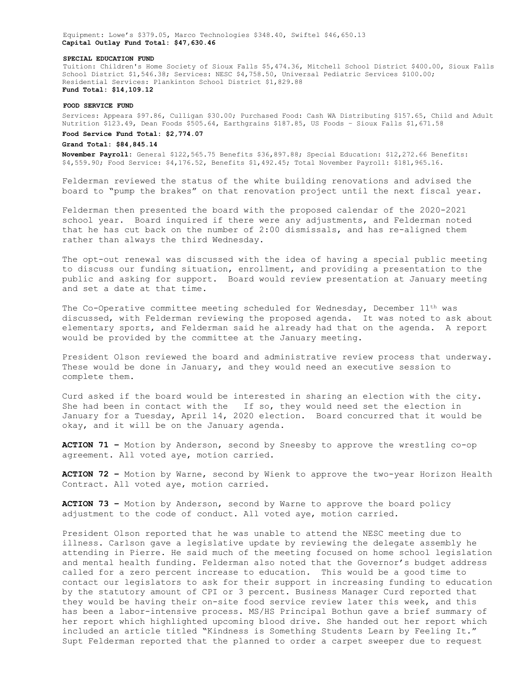Equipment: Lowe's \$379.05, Marco Technologies \$348.40, Swiftel \$46,650.13 **Capital Outlay Fund Total: \$47,630.46**

#### **SPECIAL EDUCATION FUND**

Tuition: Children's Home Society of Sioux Falls \$5,474.36, Mitchell School District \$400.00, Sioux Falls School District \$1,546.38; Services: NESC \$4,758.50, Universal Pediatric Services \$100.00; Residential Services: Plankinton School District \$1,829.88 **Fund Total: \$14,109.12**

#### **FOOD SERVICE FUND**

Services: Appeara \$97.86, Culligan \$30.00; Purchased Food: Cash WA Distributing \$157.65, Child and Adult Nutrition \$123.49, Dean Foods \$505.64, Earthgrains \$187.85, US Foods – Sioux Falls \$1,671.58

## **Food Service Fund Total: \$2,774.07**

## **Grand Total: \$84,845.14**

**November Payroll:** General \$122,565.75 Benefits \$36,897.88; Special Education: \$12,272.66 Benefits: \$4,559.90; Food Service: \$4,176.52, Benefits \$1,492.45; Total November Payroll: \$181,965.16.

Felderman reviewed the status of the white building renovations and advised the board to "pump the brakes" on that renovation project until the next fiscal year.

Felderman then presented the board with the proposed calendar of the 2020-2021 school year. Board inquired if there were any adjustments, and Felderman noted that he has cut back on the number of 2:00 dismissals, and has re-aligned them rather than always the third Wednesday.

The opt-out renewal was discussed with the idea of having a special public meeting to discuss our funding situation, enrollment, and providing a presentation to the public and asking for support. Board would review presentation at January meeting and set a date at that time.

The Co-Operative committee meeting scheduled for Wednesday, December 11th was discussed, with Felderman reviewing the proposed agenda. It was noted to ask about elementary sports, and Felderman said he already had that on the agenda. A report would be provided by the committee at the January meeting.

President Olson reviewed the board and administrative review process that underway. These would be done in January, and they would need an executive session to complete them.

Curd asked if the board would be interested in sharing an election with the city. She had been in contact with the If so, they would need set the election in January for a Tuesday, April 14, 2020 election. Board concurred that it would be okay, and it will be on the January agenda.

**ACTION 71 –** Motion by Anderson, second by Sneesby to approve the wrestling co-op agreement. All voted aye, motion carried.

**ACTION 72 –** Motion by Warne, second by Wienk to approve the two-year Horizon Health Contract. All voted aye, motion carried.

**ACTION 73 –** Motion by Anderson, second by Warne to approve the board policy adjustment to the code of conduct. All voted aye, motion carried.

President Olson reported that he was unable to attend the NESC meeting due to illness. Carlson gave a legislative update by reviewing the delegate assembly he attending in Pierre. He said much of the meeting focused on home school legislation and mental health funding. Felderman also noted that the Governor's budget address called for a zero percent increase to education. This would be a good time to contact our legislators to ask for their support in increasing funding to education by the statutory amount of CPI or 3 percent. Business Manager Curd reported that they would be having their on-site food service review later this week, and this has been a labor-intensive process. MS/HS Principal Bothun gave a brief summary of her report which highlighted upcoming blood drive. She handed out her report which included an article titled "Kindness is Something Students Learn by Feeling It." Supt Felderman reported that the planned to order a carpet sweeper due to request